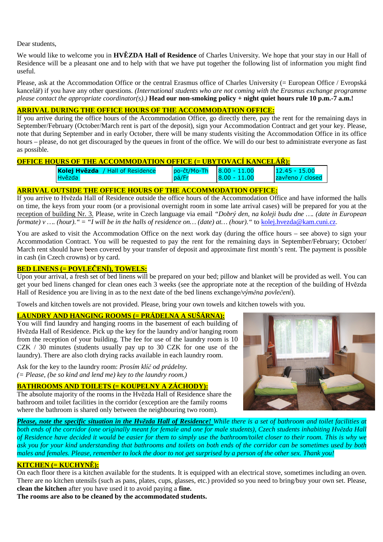Dear students,

We would like to welcome you in **HVĚZDA Hall of Residence** of Charles University. We hope that your stay in our Hall of Residence will be a pleasant one and to help with that we have put together the following list of information you might find useful.

Please, ask at the Accommodation Office or the central Erasmus office of Charles University (= European Office / Evropská kancelář) if you have any other questions. *(International students who are not coming with the Erasmus exchange programme please contact the appropriate coordinator(s).)* **Head our non-smoking policy + night quiet hours rule 10 p.m.-7 a.m.!** 

## **ARRIVAL DURING THE OFFICE HOURS OF THE ACCOMMODATION OFFICE:**

If you arrive during the office hours of the Accommodation Office, go directly there, pay the rent for the remaining days in September/February (October/March rent is part of the deposit), sign your Accommodation Contract and get your key. Please, note that during September and in early October, there will be many students visiting the Accommodation Office in its office hours – please, do not get discouraged by the queues in front of the office. We will do our best to administrate everyone as fast as possible.

## **OFFICE HOURS OF THE ACCOMMODATION OFFICE (= UBYTOVACÍ KANCELÁŘ):**

| Kolej Hvězda / Hall of Residence | l po-čt/Mo-Th | $ 8.00 - 11.00$ | 15.00<br>12.45          |
|----------------------------------|---------------|-----------------|-------------------------|
| l Hvězda                         | pá/F          | $ 8.00 - 11.00$ | <b>zavřeno</b> / closed |

### **ARRIVAL OUTSIDE THE OFFICE HOURS OF THE ACCOMMODATION OFFICE:**

If you arrive to Hvězda Hall of Residence outside the office hours of the Accommodation Office and have informed the halls on time, the keys from your room (or a provisional overnight room in some late arrival cases) will be prepared for you at the reception of building Nr. 3. Please, write in Czech language via email *"Dobrý den, na koleji budu dne …. (date in European formate) v .... (hour).* " = "*I will be in the halls of residence on... (date) at... (hour).* " to kolej.hvezda@kam.cuni.cz.

You are asked to visit the Accommodation Office on the next work day (during the office hours – see above) to sign your Accommodation Contract. You will be requested to pay the rent for the remaining days in September/February; October/ March rent should have been covered by your transfer of deposit and approximate first month's rent. The payment is possible in cash (in Czech crowns) or by card.

### **BED LINENS (= POVLEČENÍ), TOWELS:**

Upon your arrival, a fresh set of bed linens will be prepared on your bed; pillow and blanket will be provided as well. You can get your bed linens changed for clean ones each 3 weeks (see the appropriate note at the reception of the building of Hvězda Hall of Residence you are living in as to the next date of the bed linens exchange/*výměna povlečení*).

Towels and kitchen towels are not provided. Please, bring your own towels and kitchen towels with you.

## **LAUNDRY AND HANGING ROOMS (= PRÁDELNA A SUŠÁRNA):**

You will find laundry and hanging rooms in the basement of each building of Hvězda Hall of Residence. Pick up the key for the laundry and/or hanging room from the reception of your building. The fee for use of the laundry room is 10 CZK / 30 minutes (students usually pay up to 30 CZK for one use of the laundry). There are also cloth drying racks available in each laundry room.

Ask for the key to the laundry room: *Prosím klíč od prádelny. (= Please, (be so kind and lend me) key to the laundry room.)* 

# **BATHROOMS AND TOILETS (= KOUPELNY A ZÁCHODY):**

The absolute majority of the rooms in the Hvězda Hall of Residence share the bathroom and toilet facilities in the corridor (exception are the family rooms where the bathroom is shared only between the neighbouring two room).



*Please, note the specific situation in the Hvězda Hall of Residence! While there is a set of bathroom and toilet facilities at both ends of the corridor (one originally meant for female and one for male students), Czech students inhabiting Hvězda Hall of Residence have decided it would be easier for them to simply use the bathroom/toilet closer to their room. This is why we ask you for your kind understanding that bathrooms and toilets on both ends of the corridor can be sometimes used by both males and females. Please, remember to lock the door to not get surprised by a person of the other sex. Thank you!* 

## **KITCHEN (= KUCHYNĚ):**

On each floor there is a kitchen available for the students. It is equipped with an electrical stove, sometimes including an oven. There are no kitchen utensils (such as pans, plates, cups, glasses, etc.) provided so you need to bring/buy your own set. Please, **clean the kitchen** after you have used it to avoid paying a **fine.**

**The rooms are also to be cleaned by the accommodated students.**